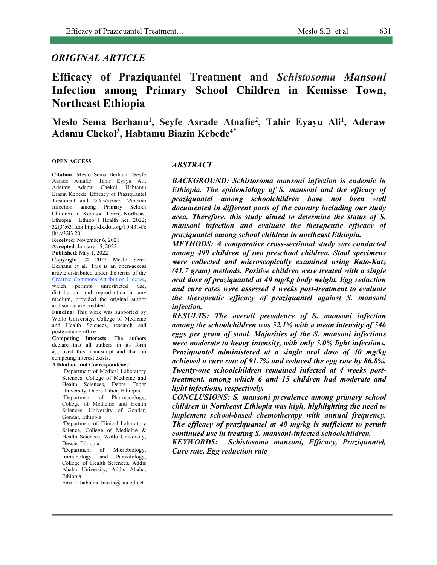# *ORIGINAL ARTICLE*

# **Efficacy of Praziquantel Treatment and** *Schistosoma Mansoni* **Infection among Primary School Children in Kemisse Town, Northeast Ethiopia**

**Meslo Sema Berhanu1 , Seyfe Asrade Atnafie2 , Tahir Eyayu Ali1 , Aderaw Adamu Chekol3 , Habtamu Biazin Kebede4\***

#### **OPEN ACCESS**

**Citation**: Meslo Sema Berhanu, Seyfe Asrade Atnafie, Tahir Eyayu Ali, Aderaw Adamu Chekol, Habtamu Biazin Kebede. Efficacy of Praziquantel Treatment and *Schistosoma Mansoni* Infection among Primary School Children in Kemisse Town, Northeast Ethiopia. Ethiop J Health Sci. 2022; 32(3):631.doi:http://dx.doi.org/10.4314/e jhs.v32i3.20

**Received**: November 6, 2021 **Accepted**: January 15, 2022 **Published**: May 1, 2022

**Copyright**: © 2022 Meslo Sema Berhanu et al. This is an open-access article distributed under the terms of the Creative Commons Attribution License, which permits unrestricted use, distribution, and reproduction in any medium, provided the original author and source are credited.

**Funding**: This work was supported by Wollo University, College of Medicine and Health Sciences, research and postgraduate office

**Competing Interests**: The authors declare that all authors in its form approved this manuscript and that no competing interest exists.

**Affiliation and Correspondence**:

<sup>1</sup>Department of Medical Laboratory Sciences, College of Medicine and Health Sciences, Debre Tabor University, Debre Tabor, Ethiopia 2 Department of Pharmacology, College of Medicine and Health Sciences, University of Gondar,

Gondar, Ethiopia 3 Department of Clinical Laboratory Science, College of Medicine &

Health Sciences, Wollo University, Dessie, Ethiopia 4 Department of Microbiology,

Immunology and Parasitology, College of Health Sciences, Addis Ababa University, Addis Ababa, Ethiopia

Email: habtamu.biazin@aau.edu.et

#### *ABSTRACT*

*BACKGROUND: Schistosoma mansoni infection is endemic in Ethiopia. The epidemiology of S. mansoni and the efficacy of praziquantel among schoolchildren have not been well documented in different parts of the country including our study area. Therefore, this study aimed to determine the status of S. mansoni infection and evaluate the therapeutic efficacy of praziquantel among school children in northeast Ethiopia.*

*METHODS: A comparative cross-sectional study was conducted among 499 children of two preschool children. Stool specimens were collected and microscopically examined using Kato-Katz (41.7 gram) methods. Positive children were treated with a single oral dose of praziquantel at 40 mg/kg body weight. Egg reduction and cure rates were assessed 4 weeks post-treatment to evaluate the therapeutic efficacy of praziquantel against S. mansoni infection.*

*RESULTS: The overall prevalence of S. mansoni infection among the schoolchildren was 52.1% with a mean intensity of 546 eggs per gram of stool. Majorities of the S. mansoni infections were moderate to heavy intensity, with only 5.0% light infections. Praziquantel administered at a single oral dose of 40 mg/kg achieved a cure rate of 91.7% and reduced the egg rate by 86.8%. Twenty-one schoolchildren remained infected at 4 weeks posttreatment, among which 6 and 15 children had moderate and light infections, respectively.*

*CONCLUSIONS: S. mansoni prevalence among primary school children in Northeast Ethiopia was high, highlighting the need to implement school-based chemotherapy with annual frequency. The efficacy of praziquantel at 40 mg/kg is sufficient to permit continued use in treating S. mansoni-infected schoolchildren.*

*KEYWORDS: Schistosoma mansoni, Efficacy, Praziquantel, Cure rate, Egg reduction rate*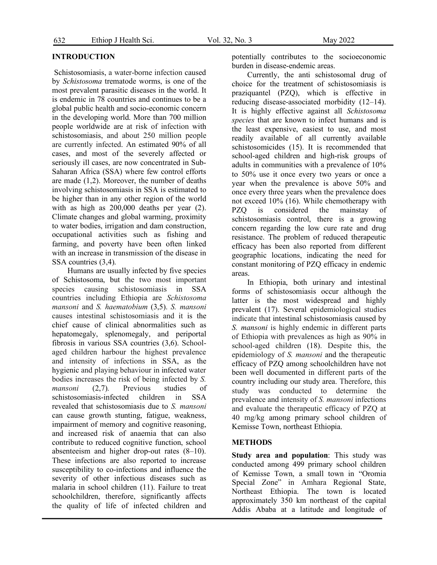### **INTRODUCTION**

Schistosomiasis, a water-borne infection caused by *Schistosoma* trematode worms, is one of the most prevalent parasitic diseases in the world. It is endemic in 78 countries and continues to be a global public health and socio-economic concern in the developing world. More than 700 million people worldwide are at risk of infection with schistosomiasis, and about 250 million people are currently infected. An estimated 90% of all cases, and most of the severely affected or seriously ill cases, are now concentrated in Sub-Saharan Africa (SSA) where few control efforts are made (1,2). Moreover, the number of deaths involving schistosomiasis in SSA is estimated to be higher than in any other region of the world with as high as 200,000 deaths per year (2). Climate changes and global warming, proximity to water bodies, irrigation and dam construction, occupational activities such as fishing and farming, and poverty have been often linked with an increase in transmission of the disease in SSA countries (3,4).

Humans are usually infected by five species of Schistosoma, but the two most important species causing schistosomiasis in SSA countries including Ethiopia are *Schistosoma mansoni* and *S. haematobium* (3,5). *S. mansoni* causes intestinal schistosomiasis and it is the chief cause of clinical abnormalities such as hepatomegaly, splenomegaly, and periportal fibrosis in various SSA countries (3,6). Schoolaged children harbour the highest prevalence and intensity of infections in SSA, as the hygienic and playing behaviour in infected water bodies increases the risk of being infected by *S. mansoni* (2,7). Previous studies of schistosomiasis-infected children in SSA revealed that schistosomiasis due to *S. mansoni* can cause growth stunting, fatigue, weakness, impairment of memory and cognitive reasoning, and increased risk of anaemia that can also contribute to reduced cognitive function, school absenteeism and higher drop-out rates (8–10). These infections are also reported to increase susceptibility to co-infections and influence the severity of other infectious diseases such as malaria in school children (11). Failure to treat schoolchildren, therefore, significantly affects the quality of life of infected children and potentially contributes to the socioeconomic burden in disease-endemic areas.

Currently, the anti schistosomal drug of choice for the treatment of schistosomiasis is praziquantel (PZQ), which is effective in reducing disease-associated morbidity (12–14). It is highly effective against all *Schistosoma species* that are known to infect humans and is the least expensive, easiest to use, and most readily available of all currently available schistosomicides (15). It is recommended that school-aged children and high-risk groups of adults in communities with a prevalence of 10% to 50% use it once every two years or once a year when the prevalence is above 50% and once every three years when the prevalence does not exceed 10% (16). While chemotherapy with PZQ is considered the mainstay of schistosomiasis control, there is a growing concern regarding the low cure rate and drug resistance. The problem of reduced therapeutic efficacy has been also reported from different geographic locations, indicating the need for constant monitoring of PZQ efficacy in endemic areas.

In Ethiopia, both urinary and intestinal forms of schistosomiasis occur although the latter is the most widespread and highly prevalent (17). Several epidemiological studies indicate that intestinal schistosomiasis caused by *S. mansoni* is highly endemic in different parts of Ethiopia with prevalences as high as 90% in school-aged children (18). Despite this, the epidemiology of *S. mansoni* and the therapeutic efficacy of PZQ among schoolchildren have not been well documented in different parts of the country including our study area. Therefore, this study was conducted to determine the prevalence and intensity of *S. mansoni* infections and evaluate the therapeutic efficacy of PZQ at 40 mg/kg among primary school children of Kemisse Town, northeast Ethiopia.

#### **METHODS**

**Study area and population**: This study was conducted among 499 primary school children of Kemisse Town, a small town in "Oromia Special Zone" in Amhara Regional State, Northeast Ethiopia. The town is located approximately 350 km northeast of the capital Addis Ababa at a latitude and longitude of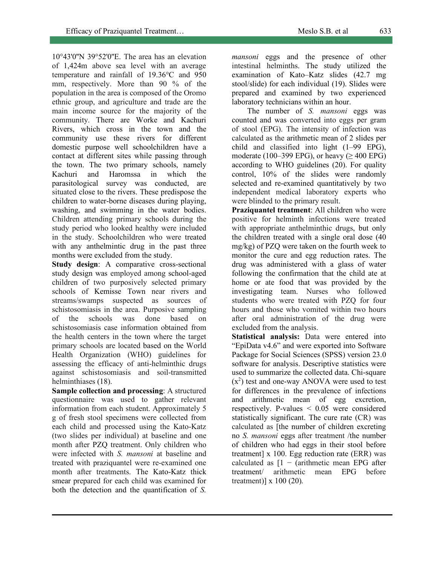10°43'0''N 39°52'0''E. The area has an elevation of 1,424m above sea level with an average temperature and rainfall of 19.36°C and 950 mm, respectively. More than 90 % of the population in the area is composed of the Oromo ethnic group, and agriculture and trade are the main income source for the majority of the community. There are Worke and Kachuri Rivers, which cross in the town and the community use these rivers for different domestic purpose well schoolchildren have a contact at different sites while passing through the town. The two primary schools, namely Kachuri and Haromssa in which the parasitological survey was conducted, are situated close to the rivers. These predispose the children to water-borne diseases during playing, washing, and swimming in the water bodies. Children attending primary schools during the study period who looked healthy were included

in the study. Schoolchildren who were treated with any anthelmintic drug in the past three months were excluded from the study.

**Study design**: A comparative cross-sectional study design was employed among school-aged children of two purposively selected primary schools of Kemisse Town near rivers and streams/swamps suspected as sources of schistosomiasis in the area. Purposive sampling of the schools was done based on schistosomiasis case information obtained from the health centers in the town where the target primary schools are located based on the World Health Organization (WHO) guidelines for assessing the efficacy of anti-helminthic drugs against schistosomiasis and soil-transmitted helminthiases (18).

**Sample collection and processing**: A structured questionnaire was used to gather relevant information from each student. Approximately 5 g of fresh stool specimens were collected from each child and processed using the Kato-Katz (two slides per individual) at baseline and one month after PZQ treatment. Only children who were infected with *S. mansoni* at baseline and treated with praziquantel were re-examined one month after treatments. The Kato-Katz thick smear prepared for each child was examined for both the detection and the quantification of *S.* 

*mansoni* eggs and the presence of other intestinal helminths. The study utilized the examination of Kato–Katz slides (42.7 mg stool/slide) for each individual (19). Slides were prepared and examined by two experienced laboratory technicians within an hour.

The number of *S. mansoni* eggs was counted and was converted into eggs per gram of stool (EPG). The intensity of infection was calculated as the arithmetic mean of 2 slides per child and classified into light (1–99 EPG), moderate (100–399 EPG), or heavy ( $\geq$  400 EPG) according to WHO guidelines (20). For quality control, 10% of the slides were randomly selected and re-examined quantitatively by two independent medical laboratory experts who were blinded to the primary result.

**Praziquantel treatment**: All children who were positive for helminth infections were treated with appropriate anthelminthic drugs, but only the children treated with a single oral dose (40 mg/kg) of PZQ were taken on the fourth week to monitor the cure and egg reduction rates. The drug was administered with a glass of water following the confirmation that the child ate at home or ate food that was provided by the investigating team. Nurses who followed students who were treated with PZQ for four hours and those who vomited within two hours after oral administration of the drug were excluded from the analysis.

**Statistical analysis:** Data were entered into "EpiData v4.6" and were exported into Software Package for Social Sciences (SPSS) version 23.0 software for analysis. Descriptive statistics were used to summarize the collected data. Chi-square  $(x<sup>2</sup>)$  test and one-way ANOVA were used to test for differences in the prevalence of infections and arithmetic mean of egg excretion, respectively. P-values < 0.05 were considered statistically significant. The cure rate (CR) was calculated as [the number of children excreting no *S. mansoni* eggs after treatment /the number of children who had eggs in their stool before treatment] x 100. Egg reduction rate (ERR) was calculated as  $[1 - (arithmetic mean EPG after$ treatment/ arithmetic mean EPG before treatment)] x 100 (20).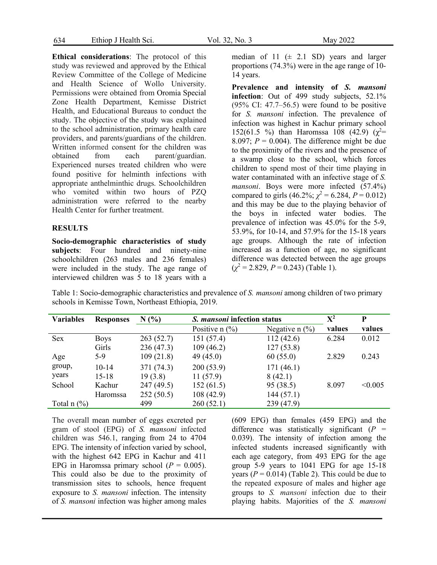634 Ethiop J Health Sci. Vol. 32, No. 3 May 2022

**Ethical considerations**: The protocol of this study was reviewed and approved by the Ethical Review Committee of the College of Medicine and Health Science of Wollo University. Permissions were obtained from Oromia Special Zone Health Department, Kemisse District Health, and Educational Bureaus to conduct the study. The objective of the study was explained to the school administration, primary health care providers, and parents/guardians of the children. Written informed consent for the children was obtained from each parent/guardian. Experienced nurses treated children who were found positive for helminth infections with appropriate anthelminthic drugs. Schoolchildren who vomited within two hours of PZQ administration were referred to the nearby Health Center for further treatment.

### **RESULTS**

**Socio-demographic characteristics of study subjects**: Four hundred and ninety-nine schoolchildren (263 males and 236 females) were included in the study. The age range of interviewed children was 5 to 18 years with a

median of 11  $(\pm 2.1 \text{ SD})$  years and larger proportions (74.3%) were in the age range of 10- 14 years.

**Prevalence and intensity of** *S. mansoni* **infection**: Out of 499 study subjects, 52.1%  $(95\% \text{ CI: } 47.7 - 56.5)$  were found to be positive for *S. mansoni* infection. The prevalence of infection was highest in Kachur primary school 152(61.5 %) than Haromssa 108 (42.9) ( $\chi^2$ = 8.097;  $P = 0.004$ ). The difference might be due to the proximity of the rivers and the presence of a swamp close to the school, which forces children to spend most of their time playing in water contaminated with an infective stage of *S. mansoni*. Boys were more infected (57.4%) compared to girls (46.2%;  $\chi^2 = 6.284$ ,  $P = 0.012$ ) and this may be due to the playing behavior of the boys in infected water bodies. The prevalence of infection was 45.0% for the 5-9, 53.9%, for 10-14, and 57.9% for the 15-18 years age groups. Although the rate of infection increased as a function of age, no significant difference was detected between the age groups  $(\chi^2 = 2.829, P = 0.243)$  (Table 1).

Table 1: Socio-demographic characteristics and prevalence of *S. mansoni* among children of two primary schools in Kemisse Town, Northeast Ethiopia, 2019.

| <b>Variables</b>                     | <b>Responses</b> | N(%        | S. mansoni infection status             |                                         | $\mathbf{X}^2$ | P       |
|--------------------------------------|------------------|------------|-----------------------------------------|-----------------------------------------|----------------|---------|
|                                      |                  |            | Positive $n$ $\left(\frac{9}{6}\right)$ | Negative $n$ $\left(\frac{9}{6}\right)$ | values         | values  |
| <b>Sex</b>                           | <b>Boys</b>      | 263(52.7)  | 151 (57.4)                              | 112(42.6)                               | 6.284          | 0.012   |
|                                      | Girls            | 236(47.3)  | 109(46.2)                               | 127(53.8)                               |                |         |
| Age                                  | $5-9$            | 109(21.8)  | 49(45.0)                                | 60(55.0)                                | 2.829          | 0.243   |
| group,                               | $10-14$          | 371 (74.3) | 200(53.9)                               | 171(46.1)                               |                |         |
| years                                | $15 - 18$        | 19(3.8)    | 11(57.9)                                | 8(42.1)                                 |                |         |
| School                               | Kachur           | 247(49.5)  | 152(61.5)                               | 95 (38.5)                               | 8.097          | < 0.005 |
|                                      | <b>Haromssa</b>  | 252(50.5)  | 108(42.9)                               | 144(57.1)                               |                |         |
| Total $n$ $\left(\frac{9}{6}\right)$ |                  | 499        | 260(52.1)                               | 239 (47.9)                              |                |         |

The overall mean number of eggs excreted per gram of stool (EPG) of *S. mansoni* infected children was 546.1, ranging from 24 to 4704 EPG. The intensity of infection varied by school, with the highest 642 EPG in Kachur and 411 EPG in Haromssa primary school  $(P = 0.005)$ . This could also be due to the proximity of transmission sites to schools, hence frequent exposure to *S. mansoni* infection. The intensity of *S. mansoni* infection was higher among males

(609 EPG) than females (459 EPG) and the difference was statistically significant  $(P =$ 0.039). The intensity of infection among the infected students increased significantly with each age category, from 493 EPG for the age group 5-9 years to 1041 EPG for age 15-18 years  $(P = 0.014)$  (Table 2). This could be due to the repeated exposure of males and higher age groups to *S. mansoni* infection due to their playing habits. Majorities of the *S. mansoni*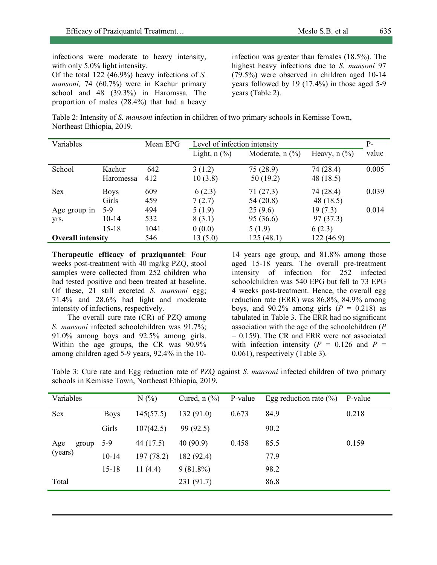infections were moderate to heavy intensity, with only 5.0% light intensity.

Of the total 122 (46.9%) heavy infections of *S. mansoni,* 74 (60.7%) were in Kachur primary school and 48 (39.3%) in Haromssa. The proportion of males (28.4%) that had a heavy

infection was greater than females (18.5%). The highest heavy infections due to *S. mansoni* 97 (79.5%) were observed in children aged 10-14 years followed by 19 (17.4%) in those aged 5-9 years (Table 2).

Table 2: Intensity of *S. mansoni* infection in children of two primary schools in Kemisse Town, Northeast Ethiopia, 2019.

| Variables                |             | Mean EPG | Level of infection intensity          |                                          |                                       | $P-$  |
|--------------------------|-------------|----------|---------------------------------------|------------------------------------------|---------------------------------------|-------|
|                          |             |          | Light, $n$ $\left(\frac{9}{6}\right)$ | Moderate, $n$ $\left(\frac{9}{6}\right)$ | Heavy, $n$ $\left(\frac{9}{6}\right)$ | value |
| School                   | Kachur      | 642      | 3(1.2)                                | 75(28.9)                                 | 74 (28.4)                             | 0.005 |
|                          | Haromessa   | 412      | 10(3.8)                               | 50(19.2)                                 | 48 (18.5)                             |       |
| <b>Sex</b>               | <b>Boys</b> | 609      | 6(2.3)                                | 71(27.3)                                 | 74 (28.4)                             | 0.039 |
|                          | Girls       | 459      | 7(2.7)                                | 54(20.8)                                 | 48 (18.5)                             |       |
| Age group in             | $5-9$       | 494      | 5(1.9)                                | 25(9.6)                                  | 19(7.3)                               | 0.014 |
| yrs.                     | $10 - 14$   | 532      | 8(3.1)                                | 95 (36.6)                                | 97(37.3)                              |       |
|                          | $15 - 18$   | 1041     | 0(0.0)                                | 5(1.9)                                   | 6(2.3)                                |       |
| <b>Overall intensity</b> |             | 546      | 13(5.0)                               | 125(48.1)                                | 122 (46.9)                            |       |

**Therapeutic efficacy of praziquantel**: Four weeks post-treatment with 40 mg/kg PZQ, stool samples were collected from 252 children who had tested positive and been treated at baseline. Of these, 21 still excreted *S. mansoni* egg; 71.4% and 28.6% had light and moderate intensity of infections, respectively.

The overall cure rate (CR) of PZQ among *S. mansoni* infected schoolchildren was 91.7%; 91.0% among boys and 92.5% among girls. Within the age groups, the CR was 90.9% among children aged 5-9 years, 92.4% in the 10-

14 years age group, and 81.8% among those aged 15-18 years. The overall pre-treatment intensity of infection for 252 infected schoolchildren was 540 EPG but fell to 73 EPG 4 weeks post-treatment. Hence, the overall egg reduction rate (ERR) was 86.8%, 84.9% among boys, and  $90.2\%$  among girls ( $P = 0.218$ ) as tabulated in Table 3. The ERR had no significant association with the age of the schoolchildren (*P*  $= 0.159$ ). The CR and ERR were not associated with infection intensity  $(P = 0.126$  and  $P =$ 0.061), respectively (Table 3).

Table 3: Cure rate and Egg reduction rate of PZQ against *S. mansoni* infected children of two primary schools in Kemisse Town, Northeast Ethiopia, 2019.

| Variables               |             | N(%        | Cured, $n$ $(\%)$ | P-value | Egg reduction rate $(\% )$ | P-value |
|-------------------------|-------------|------------|-------------------|---------|----------------------------|---------|
| Sex                     | <b>Boys</b> | 145(57.5)  | 132(91.0)         | 0.673   | 84.9                       | 0.218   |
| Age<br>group<br>(years) | Girls       | 107(42.5)  | 99(92.5)          |         | 90.2                       |         |
|                         | $5-9$       | 44 (17.5)  | 40(90.9)          | 0.458   | 85.5                       | 0.159   |
|                         | $10 - 14$   | 197(78.2)  | 182 (92.4)        |         | 77.9                       |         |
|                         | $15 - 18$   | 11 $(4.4)$ | $9(81.8\%)$       |         | 98.2                       |         |
| Total                   |             |            | 231(91.7)         |         | 86.8                       |         |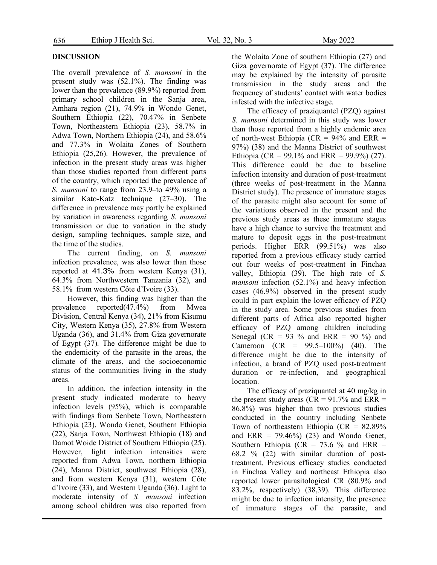## **DISCUSSION**

The overall prevalence of *S. mansoni* in the present study was (52.1%). The finding was lower than the prevalence (89.9%) reported from primary school children in the Sanja area, Amhara region (21), 74.9% in Wondo Genet, Southern Ethiopia (22), 70.47% in Senbete Town, Northeastern Ethiopia (23), 58.7% in Adwa Town, Northern Ethiopia (24), and 58.6% and 77.3% in Wolaita Zones of Southern Ethiopia (25,26). However, the prevalence of infection in the present study areas was higher than those studies reported from different parts of the country, which reported the prevalence of *S. mansoni* to range from 23.9–to 49% using a similar Kato-Katz technique (27–30). The difference in prevalence may partly be explained by variation in awareness regarding *S. mansoni* transmission or due to variation in the study design, sampling techniques, sample size, and the time of the studies.

The current finding, on *S. mansoni* infection prevalence, was also lower than those reported at 41.3% from western Kenya (31), 64.3% from Northwestern Tanzania (32), and 58.1% from western Côte d'Ivoire (33).

However, this finding was higher than the prevalence reported(47.4%) from Mwea Division, Central Kenya (34), 21% from Kisumu City, Western Kenya (35), 27.8% from Western Uganda (36), and 31.4% from Giza governorate of Egypt (37). The difference might be due to the endemicity of the parasite in the areas, the climate of the areas, and the socioeconomic status of the communities living in the study areas.

In addition, the infection intensity in the present study indicated moderate to heavy infection levels (95%), which is comparable with findings from Senbete Town, Northeastern Ethiopia (23), Wondo Genet, Southern Ethiopia (22), Sanja Town, Northwest Ethiopia (18) and Damot Woide District of Southern Ethiopia (25). However, light infection intensities were reported from Adwa Town, northern Ethiopia (24), Manna District, southwest Ethiopia (28), and from western Kenya (31), western Côte d'Ivoire (33), and Western Uganda (36). Light to moderate intensity of *S. mansoni* infection among school children was also reported from

the Wolaita Zone of southern Ethiopia (27) and Giza governorate of Egypt (37). The difference may be explained by the intensity of parasite transmission in the study areas and the frequency of students' contact with water bodies infested with the infective stage.

The efficacy of praziquantel (PZQ) against *S. mansoni* determined in this study was lower than those reported from a highly endemic area of north-west Ethiopia ( $CR = 94\%$  and  $ERR =$ 97%) (38) and the Manna District of southwest Ethiopia (CR = 99.1% and ERR = 99.9%) (27). This difference could be due to baseline infection intensity and duration of post-treatment (three weeks of post-treatment in the Manna District study). The presence of immature stages of the parasite might also account for some of the variations observed in the present and the previous study areas as these immature stages have a high chance to survive the treatment and mature to deposit eggs in the post-treatment periods. Higher ERR (99.51%) was also reported from a previous efficacy study carried out four weeks of post-treatment in Finchaa valley, Ethiopia (39). The high rate of *S. mansoni* infection (52.1%) and heavy infection cases (46.9%) observed in the present study could in part explain the lower efficacy of PZQ in the study area. Some previous studies from different parts of Africa also reported higher efficacy of PZQ among children including Senegal (CR = 93  $\%$  and ERR = 90  $\%$ ) and Cameroon (CR = 99.5–100%) (40). The difference might be due to the intensity of infection, a brand of PZQ used post-treatment duration or re-infection, and geographical location.

The efficacy of praziquantel at 40 mg/kg in the present study areas ( $CR = 91.7\%$  and  $ERR =$ 86.8%) was higher than two previous studies conducted in the country including Senbete Town of northeastern Ethiopia ( $CR = 82.89\%$ and ERR =  $79.46\%$ ) (23) and Wondo Genet, Southern Ethiopia (CR =  $73.6 \%$  and ERR = 68.2 % (22) with similar duration of posttreatment. Previous efficacy studies conducted in Finchaa Valley and northeast Ethiopia also reported lower parasitological CR (80.9% and 83.2%, respectively) (38,39). This difference might be due to infection intensity, the presence of immature stages of the parasite, and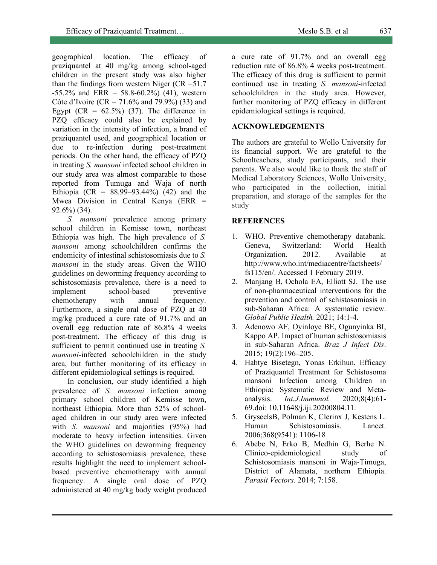geographical location. The efficacy of praziquantel at 40 mg/kg among school-aged children in the present study was also higher than the findings from western Niger ( $CR = 51.7$ )  $-55.2\%$  and ERR = 58.8-60.2%) (41), western Côte d'Ivoire (CR = 71.6% and 79.9%) (33) and Egypt  $(CR = 62.5\%)$  (37). The difference in PZQ efficacy could also be explained by variation in the intensity of infection, a brand of praziquantel used, and geographical location or due to re-infection during post-treatment periods. On the other hand, the efficacy of PZQ in treating *S. mansoni* infected school children in our study area was almost comparable to those reported from Tumuga and Waja of north Ethiopia (CR =  $88.99 - 93.44\%$ ) (42) and the Mwea Division in Central Kenya (ERR = 92.6%) (34).

*S. mansoni* prevalence among primary school children in Kemisse town, northeast Ethiopia was high. The high prevalence of *S. mansoni* among schoolchildren confirms the endemicity of intestinal schistosomiasis due to *S. mansoni* in the study areas. Given the WHO guidelines on deworming frequency according to schistosomiasis prevalence, there is a need to implement school-based preventive chemotherapy with annual frequency. Furthermore, a single oral dose of PZQ at 40 mg/kg produced a cure rate of 91.7% and an overall egg reduction rate of 86.8% 4 weeks post-treatment. The efficacy of this drug is sufficient to permit continued use in treating *S. mansoni*-infected schoolchildren in the study area, but further monitoring of its efficacy in different epidemiological settings is required.

In conclusion, our study identified a high prevalence of *S. mansoni* infection among primary school children of Kemisse town, northeast Ethiopia. More than 52% of schoolaged children in our study area were infected with *S. mansoni* and majorities (95%) had moderate to heavy infection intensities. Given the WHO guidelines on deworming frequency according to schistosomiasis prevalence, these results highlight the need to implement schoolbased preventive chemotherapy with annual frequency. A single oral dose of PZQ administered at 40 mg/kg body weight produced

a cure rate of 91.7% and an overall egg reduction rate of 86.8% 4 weeks post-treatment. The efficacy of this drug is sufficient to permit continued use in treating *S. mansoni*-infected schoolchildren in the study area. However, further monitoring of PZQ efficacy in different epidemiological settings is required.

# **ACKNOWLEDGEMENTS**

The authors are grateful to Wollo University for its financial support. We are grateful to the Schoolteachers, study participants, and their parents. We also would like to thank the staff of Medical Laboratory Sciences, Wollo University, who participated in the collection, initial preparation, and storage of the samples for the study

## **REFERENCES**

- 1. WHO. Preventive chemotherapy databank. Geneva, Switzerland: World Health Organization. 2012. Available at http://www.who.int/mediacentre/factsheets/ fs115/en/. Accessed 1 February 2019.
- 2. Manjang B, Ochola EA, Elliott SJ. The use of non-pharmaceutical interventions for the prevention and control of schistosomiasis in sub-Saharan Africa: A systematic review. *Global Public Health.* 2021; 14:1-4.
- 3. Adenowo AF, Oyinloye BE, Ogunyinka BI, Kappo AP. Impact of human schistosomiasis in sub-Saharan Africa. *Braz J Infect Dis*. 2015; 19(2):196–205.
- 4. Habtye Bisetegn, Yonas Erkihun. Efficacy of Praziquantel Treatment for Schistosoma mansoni Infection among Children in Ethiopia: Systematic Review and Metaanalysis. *Int.J.Immunol.* 2020;8(4):61- 69.doi: 10.11648/j.iji.20200804.11.
- 5. GryseelsB, Polman K, Clerinx J, Kestens L. Human Schistosomiasis. Lancet. 2006;368(9541): 1106-18
- 6. Abebe N, Erko B, Medhin G, Berhe N. Clinico-epidemiological study of Schistosomiasis mansoni in Waja-Timuga, District of Alamata, northern Ethiopia. *Parasit Vectors.* 2014; 7:158.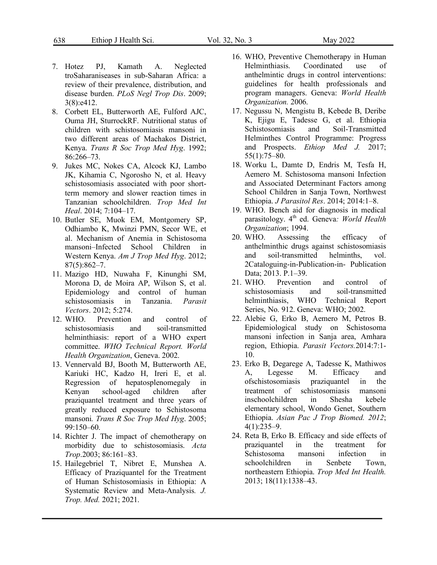- 7. Hotez PJ, Kamath A. Neglected troSaharaniseases in sub-Saharan Africa: a review of their prevalence, distribution, and disease burden. *PLoS Negl Trop Dis*. 2009; 3(8):e412.
- 8. Corbett EL, Butterworth AE, Fulford AJC, Ouma JH, SturrockRF. Nutritional status of children with schistosomiasis mansoni in two different areas of Machakos District, Kenya. *Trans R Soc Trop Med Hyg*. 1992; 86:266–73.
- 9. Jukes MC, Nokes CA, Alcock KJ, Lambo JK, Kihamia C, Ngorosho N, et al. Heavy schistosomiasis associated with poor shortterm memory and slower reaction times in Tanzanian schoolchildren. *Trop Med Int Heal*. 2014; 7:104–17.
- 10. Butler SE, Muok EM, Montgomery SP, Odhiambo K, Mwinzi PMN, Secor WE, et al. Mechanism of Anemia in Schistosoma mansoni–Infected School Children in Western Kenya. *Am J Trop Med Hyg*. 2012; 87(5):862–7.
- 11. Mazigo HD, Nuwaha F, Kinunghi SM, Morona D, de Moira AP, Wilson S, et al. Epidemiology and control of human schistosomiasis in Tanzania. *Parasit Vectors*. 2012; 5:274.
- 12. WHO. Prevention and control of schistosomiasis and soil-transmitted helminthiasis: report of a WHO expert committee. *WHO Technical Report. World Health Organization*, Geneva. 2002.
- 13. Vennervald BJ, Booth M, Butterworth AE, Kariuki HC, Kadzo H, Ireri E, et al. Regression of hepatosplenomegaly in Kenyan school-aged children after praziquantel treatment and three years of greatly reduced exposure to Schistosoma mansoni*. Trans R Soc Trop Med Hyg*. 2005; 99:150–60.
- 14. Richter J. The impact of chemotherapy on morbidity due to schistosomiasis. *Acta Trop*.2003; 86:161–83.
- 15. Hailegebriel T, Nibret E, Munshea A. Efficacy of Praziquantel for the Treatment of Human Schistosomiasis in Ethiopia: A Systematic Review and Meta-Analysis*. J. Trop. Med.* 2021; 2021.
- 16. WHO, Preventive Chemotherapy in Human Helminthiasis. Coordinated use of anthelmintic drugs in control interventions: guidelines for health professionals and program managers. Geneva: *World Health Organization.* 2006.
- 17. Negussu N, Mengistu B, Kebede B, Deribe K, Ejigu E, Tadesse G, et al. Ethiopia Schistosomiasis and Soil-Transmitted Helminthes Control Programme: Progress and Prospects. *Ethiop Med J.* 2017; 55(1):75–80.
- 18. Worku L, Damte D, Endris M, Tesfa H, Aemero M. Schistosoma mansoni Infection and Associated Determinant Factors among School Children in Sanja Town, Northwest Ethiopia. *J Parasitol Res*. 2014; 2014:1–8.
- 19. WHO. Bench aid for diagnosis in medical parasitology. 4<sup>th</sup> ed. Geneva: World Health *Organization*; 1994.
- 20. WHO. Assessing the efficacy of anthelminthic drugs against schistosomiasis and soil-transmitted helminths, vol. 2Cataloguing-in-Publication-in- Publication Data; 2013. P.1–39.
- 21. WHO. Prevention and control of schistosomiasis and soil-transmitted helminthiasis, WHO Technical Report Series, No. 912. Geneva: WHO; 2002.
- 22. Alebie G, Erko B, Aemero M, Petros B. Epidemiological study on Schistosoma mansoni infection in Sanja area, Amhara region, Ethiopia. *Parasit Vectors.*2014:7:1- 10.
- 23. Erko B, Degarege A, Tadesse K, Mathiwos A, Legesse M. Efficacy and ofschistosomiasis praziquantel in the treatment of schistosomiasis mansoni inschoolchildren in Shesha kebele elementary school, Wondo Genet, Southern Ethiopia. *Asian Pac J Trop Biomed. 2012*;  $4(1):235-9.$
- 24. Reta B, Erko B. Efficacy and side effects of praziquantel in the treatment for Schistosoma mansoni infection in schoolchildren in Senbete Town, northeastern Ethiopia. *Trop Med Int Health.* 2013; 18(11):1338–43.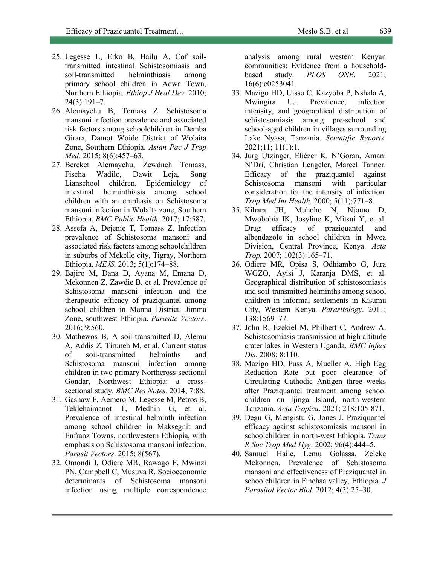- 25. Legesse L, Erko B, Hailu A. Cof soiltransmitted intestinal Schistosomiasis and soil-transmitted helminthiasis among primary school children in Adwa Town, Northern Ethiopia*. Ethiop J Heal Dev*. 2010; 24(3):191–7.
- 26. Alemayehu B, Tomass Z. Schistosoma mansoni infection prevalence and associated risk factors among schoolchildren in Demba Girara, Damot Woide District of Wolaita Zone, Southern Ethiopia. *Asian Pac J Trop Med.* 2015; 8(6):457–63.
- 27. Bereket Alemayehu, Zewdneh Tomass, Fiseha Wadilo, Dawit Leja, Song Lianschool children. Epidemiology of intestinal helminthiasis among school children with an emphasis on Schistosoma mansoni infection in Wolaita zone, Southern Ethiopia. *BMC Public Health*. 2017; 17:587.
- 28. Assefa A, Dejenie T, Tomass Z. Infection prevalence of Schistosoma mansoni and associated risk factors among schoolchildren in suburbs of Mekelle city, Tigray, Northern Ethiopia. *MEJS.* 2013; 5(1):174–88.
- 29. Bajiro M, Dana D, Ayana M, Emana D, Mekonnen Z, Zawdie B, et al. Prevalence of Schistosoma mansoni infection and the therapeutic efficacy of praziquantel among school children in Manna District, Jimma Zone, southwest Ethiopia. *Parasite Vectors*. 2016; 9:560.
- 30. Mathewos B, A soil-transmitted D, Alemu A, Addis Z, Tiruneh M, et al. Current status of soil-transmitted helminths and Schistosoma mansoni infection among children in two primary Northcross-sectional Gondar, Northwest Ethiopia: a crosssectional study. *BMC Res Notes.* 2014; 7:88.
- 31. Gashaw F, Aemero M, Legesse M, Petros B, Teklehaimanot T, Medhin G, et al. Prevalence of intestinal helminth infection among school children in Maksegnit and Enfranz Towns, northwestern Ethiopia, with emphasis on Schistosoma mansoni infection. *Parasit Vectors*. 2015; 8(567).
- 32. Omondi I, Odiere MR, Rawago F, Mwinzi PN, Campbell C, Musuva R. Socioeconomic determinants of Schistosoma mansoni infection using multiple correspondence

analysis among rural western Kenyan communities: Evidence from a householdbased study. *PLOS ONE*. 2021; 16(6):e0253041.

- 33. Mazigo HD, Uisso C, Kazyoba P, Nshala A, Mwingira UJ. Prevalence, infection intensity, and geographical distribution of schistosomiasis among pre-school and school-aged children in villages surrounding Lake Nyasa, Tanzania. *Scientific Reports*. 2021;11; 11(1):1.
- 34. Jurg Utzinger, Eliézer K. N'Goran, Amani N'Dri, Christian Lengeler, Marcel Tanner. Efficacy of the praziquantel against Schistosoma mansoni with particular consideration for the intensity of infection. *Trop Med Int Health*. 2000; 5(11):771–8.
- 35. Kihara JH, Muhoho N, Njomo D, Mwobobia IK, Josyline K, Mitsui Y, et al. Drug efficacy of praziquantel and albendazole in school children in Mwea Division, Central Province, Kenya. *Acta Trop.* 2007; 102(3):165–71.
- 36. Odiere MR, Opisa S, Odhiambo G, Jura WGZO, Ayisi J, Karanja DMS, et al. Geographical distribution of schistosomiasis and soil-transmitted helminths among school children in informal settlements in Kisumu City, Western Kenya. *Parasitology*. 2011; 138:1569–77.
- 37. John R, Ezekiel M, Philbert C, Andrew A. Schistosomiasis transmission at high altitude crater lakes in Western Uganda. *BMC Infect Dis.* 2008; 8:110.
- 38. Mazigo HD, Fuss A, Mueller A. High Egg Reduction Rate but poor clearance of Circulating Cathodic Antigen three weeks after Praziquantel treatment among school children on Ijinga Island, north-western Tanzania. *Acta Tropica*. 2021; 218:105-871.
- 39. Degu G, Mengistu G, Jones J. Praziquantel efficacy against schistosomiasis mansoni in schoolchildren in north-west Ethiopia. *Trans R Soc Trop Med Hyg*. 2002; 96(4):444–5.
- 40. Samuel Haile, Lemu Golassa, Zeleke Mekonnen. Prevalence of Schistosoma mansoni and effectiveness of Praziquantel in schoolchildren in Finchaa valley, Ethiopia. *J Parasitol Vector Biol*. 2012; 4(3):25–30.